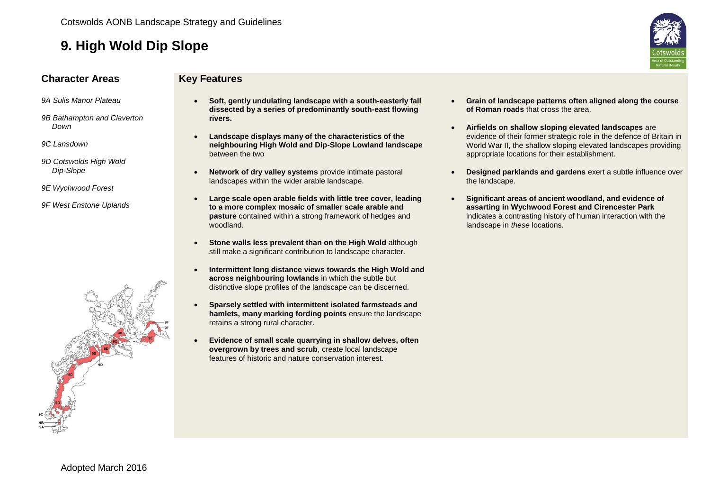

#### **Character Areas Key Features**

- *9A Sulis Manor Plateau*
- *9B Bathampton and Claverton Down*
- *9C Lansdown*
- *9D Cotswolds High Wold Dip-Slope*
- *9E Wychwood Forest*
- *9F West Enstone Uplands*



- **Soft, gently undulating landscape with a south-easterly fall dissected by a series of predominantly south-east flowing rivers.**
- **Landscape displays many of the characteristics of the neighbouring High Wold and Dip-Slope Lowland landscape** between the two
- **Network of dry valley systems** provide intimate pastoral landscapes within the wider arable landscape.
- **Large scale open arable fields with little tree cover, leading to a more complex mosaic of smaller scale arable and pasture** contained within a strong framework of hedges and woodland.
- **Stone walls less prevalent than on the High Wold** although still make a significant contribution to landscape character.
- **Intermittent long distance views towards the High Wold and across neighbouring lowlands** in which the subtle but distinctive slope profiles of the landscape can be discerned.
- **Sparsely settled with intermittent isolated farmsteads and hamlets, many marking fording points** ensure the landscape retains a strong rural character.
- **Evidence of small scale quarrying in shallow delves, often overgrown by trees and scrub**, create local landscape features of historic and nature conservation interest.
- **Grain of landscape patterns often aligned along the course of Roman roads** that cross the area.
- **Airfields on shallow sloping elevated landscapes** are evidence of their former strategic role in the defence of Britain in World War II, the shallow sloping elevated landscapes providing appropriate locations for their establishment.
- **Designed parklands and gardens** exert a subtle influence over the landscape.
- **Significant areas of ancient woodland, and evidence of assarting in Wychwood Forest and Cirencester Park**  indicates a contrasting history of human interaction with the landscape in *these* locations.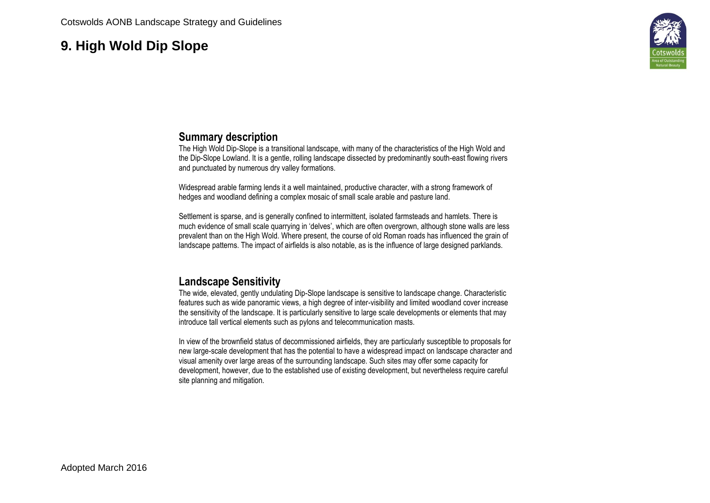

#### **Summary description**

The High Wold Dip-Slope is a transitional landscape, with many of the characteristics of the High Wold and the Dip-Slope Lowland. It is a gentle, rolling landscape dissected by predominantly south-east flowing rivers and punctuated by numerous dry valley formations.

Widespread arable farming lends it a well maintained, productive character, with a strong framework of hedges and woodland defining a complex mosaic of small scale arable and pasture land.

Settlement is sparse, and is generally confined to intermittent, isolated farmsteads and hamlets. There is much evidence of small scale quarrying in 'delves', which are often overgrown, although stone walls are less prevalent than on the High Wold. Where present, the course of old Roman roads has influenced the grain of landscape patterns. The impact of airfields is also notable, as is the influence of large designed parklands.

#### **Landscape Sensitivity**

The wide, elevated, gently undulating Dip-Slope landscape is sensitive to landscape change. Characteristic features such as wide panoramic views, a high degree of inter-visibility and limited woodland cover increase the sensitivity of the landscape. It is particularly sensitive to large scale developments or elements that may introduce tall vertical elements such as pylons and telecommunication masts.

In view of the brownfield status of decommissioned airfields, they are particularly susceptible to proposals for new large-scale development that has the potential to have a widespread impact on landscape character and visual amenity over large areas of the surrounding landscape. Such sites may offer some capacity for development, however, due to the established use of existing development, but nevertheless require careful site planning and mitigation.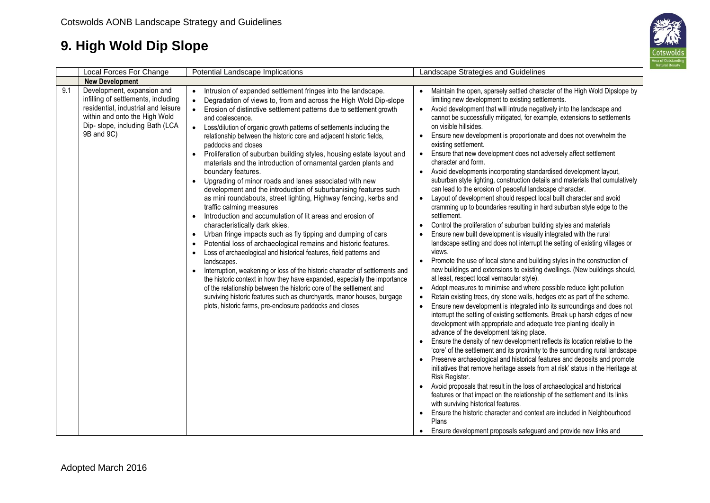

| Local Forces For Change                                                                                                                                                                           | Potential Landscape Implications                                                                                                                                                                                                                                                                                                                                                                                                                                                                                                                                                                                                                                                                                                                                                                                                                                                                                                                                                                                                                                                                                                                                                                                                                                                                                                                                                                                                                                                                                                                                                                                                    | Landscape Strategies and Guidelines                                                                                                                                                                                                                                                                                                                                                                                                                                                                                                                                                                                                                                                                                                                                                                                                                                                                                                                                                                                                                                                                                                                                                                                                                                                                                                                                                                                                                                                                                                                                                                                                                                                                                                                                                                                                                                                                                                                                                                                                                                                                                                                                                                                                                                                                                                                                                                                                                                                                                                                                                                                                 |
|---------------------------------------------------------------------------------------------------------------------------------------------------------------------------------------------------|-------------------------------------------------------------------------------------------------------------------------------------------------------------------------------------------------------------------------------------------------------------------------------------------------------------------------------------------------------------------------------------------------------------------------------------------------------------------------------------------------------------------------------------------------------------------------------------------------------------------------------------------------------------------------------------------------------------------------------------------------------------------------------------------------------------------------------------------------------------------------------------------------------------------------------------------------------------------------------------------------------------------------------------------------------------------------------------------------------------------------------------------------------------------------------------------------------------------------------------------------------------------------------------------------------------------------------------------------------------------------------------------------------------------------------------------------------------------------------------------------------------------------------------------------------------------------------------------------------------------------------------|-------------------------------------------------------------------------------------------------------------------------------------------------------------------------------------------------------------------------------------------------------------------------------------------------------------------------------------------------------------------------------------------------------------------------------------------------------------------------------------------------------------------------------------------------------------------------------------------------------------------------------------------------------------------------------------------------------------------------------------------------------------------------------------------------------------------------------------------------------------------------------------------------------------------------------------------------------------------------------------------------------------------------------------------------------------------------------------------------------------------------------------------------------------------------------------------------------------------------------------------------------------------------------------------------------------------------------------------------------------------------------------------------------------------------------------------------------------------------------------------------------------------------------------------------------------------------------------------------------------------------------------------------------------------------------------------------------------------------------------------------------------------------------------------------------------------------------------------------------------------------------------------------------------------------------------------------------------------------------------------------------------------------------------------------------------------------------------------------------------------------------------------------------------------------------------------------------------------------------------------------------------------------------------------------------------------------------------------------------------------------------------------------------------------------------------------------------------------------------------------------------------------------------------------------------------------------------------------------------------------------------------|
| <b>New Development</b>                                                                                                                                                                            |                                                                                                                                                                                                                                                                                                                                                                                                                                                                                                                                                                                                                                                                                                                                                                                                                                                                                                                                                                                                                                                                                                                                                                                                                                                                                                                                                                                                                                                                                                                                                                                                                                     |                                                                                                                                                                                                                                                                                                                                                                                                                                                                                                                                                                                                                                                                                                                                                                                                                                                                                                                                                                                                                                                                                                                                                                                                                                                                                                                                                                                                                                                                                                                                                                                                                                                                                                                                                                                                                                                                                                                                                                                                                                                                                                                                                                                                                                                                                                                                                                                                                                                                                                                                                                                                                                     |
| 9.1<br>Development, expansion and<br>infilling of settlements, including<br>residential, industrial and leisure<br>within and onto the High Wold<br>Dip- slope, including Bath (LCA<br>9B and 9C) | Intrusion of expanded settlement fringes into the landscape.<br>$\bullet$<br>Degradation of views to, from and across the High Wold Dip-slope<br>$\bullet$<br>Erosion of distinctive settlement patterns due to settlement growth<br>$\bullet$<br>and coalescence.<br>Loss/dilution of organic growth patterns of settlements including the<br>relationship between the historic core and adjacent historic fields,<br>paddocks and closes<br>Proliferation of suburban building styles, housing estate layout and<br>$\bullet$<br>materials and the introduction of ornamental garden plants and<br>boundary features.<br>Upgrading of minor roads and lanes associated with new<br>$\bullet$<br>development and the introduction of suburbanising features such<br>as mini roundabouts, street lighting, Highway fencing, kerbs and<br>traffic calming measures<br>Introduction and accumulation of lit areas and erosion of<br>$\bullet$<br>characteristically dark skies.<br>Urban fringe impacts such as fly tipping and dumping of cars<br>$\bullet$<br>Potential loss of archaeological remains and historic features.<br>$\bullet$<br>Loss of archaeological and historical features, field patterns and<br>$\bullet$<br>landscapes.<br>Interruption, weakening or loss of the historic character of settlements and<br>$\bullet$<br>the historic context in how they have expanded, especially the importance<br>of the relationship between the historic core of the settlement and<br>surviving historic features such as churchyards, manor houses, burgage<br>plots, historic farms, pre-enclosure paddocks and closes | Maintain the open, sparsely settled character of the High Wold Dipslope by<br>$\bullet$<br>limiting new development to existing settlements.<br>Avoid development that will intrude negatively into the landscape and<br>$\bullet$<br>cannot be successfully mitigated, for example, extensions to settlements<br>on visible hillsides.<br>Ensure new development is proportionate and does not overwhelm the<br>$\bullet$<br>existing settlement.<br>Ensure that new development does not adversely affect settlement<br>$\bullet$<br>character and form.<br>Avoid developments incorporating standardised development layout,<br>$\bullet$<br>suburban style lighting, construction details and materials that cumulatively<br>can lead to the erosion of peaceful landscape character.<br>Layout of development should respect local built character and avoid<br>$\bullet$<br>cramming up to boundaries resulting in hard suburban style edge to the<br>settlement.<br>Control the proliferation of suburban building styles and materials<br>$\bullet$<br>Ensure new built development is visually integrated with the rural<br>landscape setting and does not interrupt the setting of existing villages or<br>views.<br>Promote the use of local stone and building styles in the construction of<br>$\bullet$<br>new buildings and extensions to existing dwellings. (New buildings should,<br>at least, respect local vernacular style).<br>Adopt measures to minimise and where possible reduce light pollution<br>$\bullet$<br>Retain existing trees, dry stone walls, hedges etc as part of the scheme.<br>$\bullet$<br>Ensure new development is integrated into its surroundings and does not<br>$\bullet$<br>interrupt the setting of existing settlements. Break up harsh edges of new<br>development with appropriate and adequate tree planting ideally in<br>advance of the development taking place.<br>Ensure the density of new development reflects its location relative to the<br>'core' of the settlement and its proximity to the surrounding rural landscape<br>Preserve archaeological and historical features and deposits and promote<br>initiatives that remove heritage assets from at risk' status in the Heritage at<br>Risk Register.<br>Avoid proposals that result in the loss of archaeological and historical<br>features or that impact on the relationship of the settlement and its links<br>with surviving historical features.<br>Ensure the historic character and context are included in Neighbourhood<br>Plans<br>Ensure development proposals safeguard and provide new links and |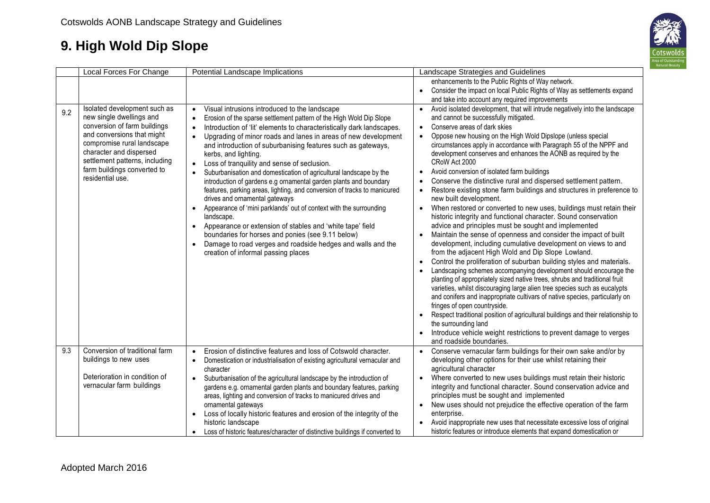

|     | Local Forces For Change                                                                                                                                                                                                                                              | Potential Landscape Implications                                                                                                                                                                                                                                                                                                                                                                                                                                                                                                                                                                                                                                                                                                 | Landscape Strategies and Guidelines                                                                                                                                                                                                                                                                                                                                                                                                                                                                                                                                                                                                                                                                                                                                                                                                                                                                                                                                                                                                                                                           |
|-----|----------------------------------------------------------------------------------------------------------------------------------------------------------------------------------------------------------------------------------------------------------------------|----------------------------------------------------------------------------------------------------------------------------------------------------------------------------------------------------------------------------------------------------------------------------------------------------------------------------------------------------------------------------------------------------------------------------------------------------------------------------------------------------------------------------------------------------------------------------------------------------------------------------------------------------------------------------------------------------------------------------------|-----------------------------------------------------------------------------------------------------------------------------------------------------------------------------------------------------------------------------------------------------------------------------------------------------------------------------------------------------------------------------------------------------------------------------------------------------------------------------------------------------------------------------------------------------------------------------------------------------------------------------------------------------------------------------------------------------------------------------------------------------------------------------------------------------------------------------------------------------------------------------------------------------------------------------------------------------------------------------------------------------------------------------------------------------------------------------------------------|
|     |                                                                                                                                                                                                                                                                      |                                                                                                                                                                                                                                                                                                                                                                                                                                                                                                                                                                                                                                                                                                                                  | enhancements to the Public Rights of Way network.                                                                                                                                                                                                                                                                                                                                                                                                                                                                                                                                                                                                                                                                                                                                                                                                                                                                                                                                                                                                                                             |
|     |                                                                                                                                                                                                                                                                      |                                                                                                                                                                                                                                                                                                                                                                                                                                                                                                                                                                                                                                                                                                                                  | • Consider the impact on local Public Rights of Way as settlements expand                                                                                                                                                                                                                                                                                                                                                                                                                                                                                                                                                                                                                                                                                                                                                                                                                                                                                                                                                                                                                     |
|     |                                                                                                                                                                                                                                                                      |                                                                                                                                                                                                                                                                                                                                                                                                                                                                                                                                                                                                                                                                                                                                  | and take into account any required improvements                                                                                                                                                                                                                                                                                                                                                                                                                                                                                                                                                                                                                                                                                                                                                                                                                                                                                                                                                                                                                                               |
| 9.2 | Isolated development such as<br>new single dwellings and<br>conversion of farm buildings<br>and conversions that might<br>compromise rural landscape<br>character and dispersed<br>settlement patterns, including<br>farm buildings converted to<br>residential use. | Visual intrusions introduced to the landscape<br>$\bullet$<br>Erosion of the sparse settlement pattern of the High Wold Dip Slope<br>$\bullet$<br>Introduction of 'lit' elements to characteristically dark landscapes.<br>$\bullet$<br>Upgrading of minor roads and lanes in areas of new development<br>and introduction of suburbanising features such as gateways,<br>kerbs, and lighting.<br>Loss of tranquility and sense of seclusion.<br>$\bullet$<br>Suburbanisation and domestication of agricultural landscape by the<br>$\bullet$<br>introduction of gardens e.g ornamental garden plants and boundary<br>features, parking areas, lighting, and conversion of tracks to manicured<br>drives and ornamental gateways | Avoid isolated development, that will intrude negatively into the landscape<br>$\bullet$<br>and cannot be successfully mitigated.<br>Conserve areas of dark skies<br>$\bullet$<br>Oppose new housing on the High Wold Dipslope (unless special<br>$\bullet$<br>circumstances apply in accordance with Paragraph 55 of the NPPF and<br>development conserves and enhances the AONB as required by the<br>CRoW Act 2000<br>Avoid conversion of isolated farm buildings<br>$\bullet$<br>Conserve the distinctive rural and dispersed settlement pattern.<br>$\bullet$<br>Restore existing stone farm buildings and structures in preference to<br>$\bullet$<br>new built development.                                                                                                                                                                                                                                                                                                                                                                                                            |
|     |                                                                                                                                                                                                                                                                      | Appearance of 'mini parklands' out of context with the surrounding<br>$\bullet$<br>landscape.<br>Appearance or extension of stables and 'white tape' field<br>$\bullet$<br>boundaries for horses and ponies (see 9.11 below)<br>Damage to road verges and roadside hedges and walls and the<br>$\bullet$<br>creation of informal passing places                                                                                                                                                                                                                                                                                                                                                                                  | When restored or converted to new uses, buildings must retain their<br>$\bullet$<br>historic integrity and functional character. Sound conservation<br>advice and principles must be sought and implemented<br>Maintain the sense of openness and consider the impact of built<br>$\bullet$<br>development, including cumulative development on views to and<br>from the adjacent High Wold and Dip Slope Lowland.<br>Control the proliferation of suburban building styles and materials.<br>$\bullet$<br>Landscaping schemes accompanying development should encourage the<br>$\bullet$<br>planting of appropriately sized native trees, shrubs and traditional fruit<br>varieties, whilst discouraging large alien tree species such as eucalypts<br>and conifers and inappropriate cultivars of native species, particularly on<br>fringes of open countryside.<br>Respect traditional position of agricultural buildings and their relationship to<br>$\bullet$<br>the surrounding land<br>Introduce vehicle weight restrictions to prevent damage to verges<br>and roadside boundaries. |
| 9.3 | Conversion of traditional farm<br>buildings to new uses<br>Deterioration in condition of<br>vernacular farm buildings                                                                                                                                                | Erosion of distinctive features and loss of Cotswold character.<br>$\bullet$<br>Domestication or industrialisation of existing agricultural vernacular and<br>$\bullet$<br>character<br>Suburbanisation of the agricultural landscape by the introduction of<br>$\bullet$<br>gardens e.g. ornamental garden plants and boundary features, parking<br>areas, lighting and conversion of tracks to manicured drives and<br>ornamental gateways<br>Loss of locally historic features and erosion of the integrity of the<br>$\bullet$<br>historic landscape<br>Loss of historic features/character of distinctive buildings if converted to<br>$\bullet$                                                                            | Conserve vernacular farm buildings for their own sake and/or by<br>$\bullet$<br>developing other options for their use whilst retaining their<br>agricultural character<br>Where converted to new uses buildings must retain their historic<br>$\bullet$<br>integrity and functional character. Sound conservation advice and<br>principles must be sought and implemented<br>New uses should not prejudice the effective operation of the farm<br>$\bullet$<br>enterprise.<br>Avoid inappropriate new uses that necessitate excessive loss of original<br>$\bullet$<br>historic features or introduce elements that expand domestication or                                                                                                                                                                                                                                                                                                                                                                                                                                                  |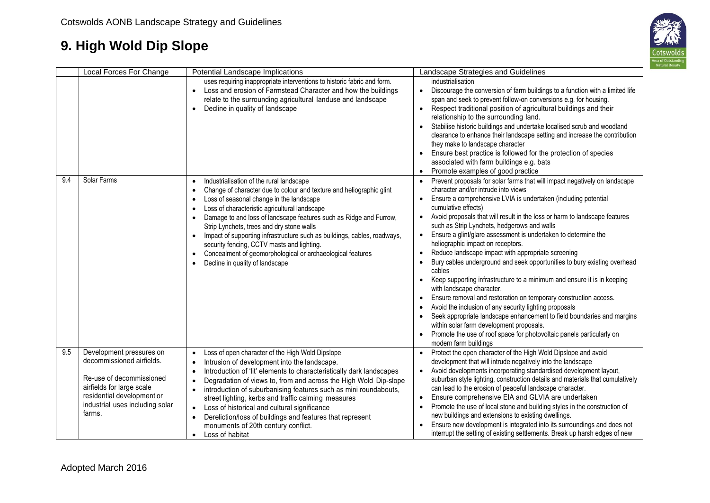

|     | Local Forces For Change                                                                                                                                                                   | Potential Landscape Implications                                                                                                                                                                                                                                                                                                                                                                                                                                                                                                                                                                                                                                    | Landscape Strategies and Guidelines                                                                                                                                                                                                                                                                                                                                                                                                                                                                                                                                                                                                                                                                                                                                                                                                                                                                                                                                                                                                                                                                                       |
|-----|-------------------------------------------------------------------------------------------------------------------------------------------------------------------------------------------|---------------------------------------------------------------------------------------------------------------------------------------------------------------------------------------------------------------------------------------------------------------------------------------------------------------------------------------------------------------------------------------------------------------------------------------------------------------------------------------------------------------------------------------------------------------------------------------------------------------------------------------------------------------------|---------------------------------------------------------------------------------------------------------------------------------------------------------------------------------------------------------------------------------------------------------------------------------------------------------------------------------------------------------------------------------------------------------------------------------------------------------------------------------------------------------------------------------------------------------------------------------------------------------------------------------------------------------------------------------------------------------------------------------------------------------------------------------------------------------------------------------------------------------------------------------------------------------------------------------------------------------------------------------------------------------------------------------------------------------------------------------------------------------------------------|
|     |                                                                                                                                                                                           | uses requiring inappropriate interventions to historic fabric and form.<br>Loss and erosion of Farmstead Character and how the buildings<br>$\bullet$<br>relate to the surrounding agricultural landuse and landscape<br>Decline in quality of landscape<br>$\bullet$                                                                                                                                                                                                                                                                                                                                                                                               | industrialisation<br>Discourage the conversion of farm buildings to a function with a limited life<br>$\bullet$<br>span and seek to prevent follow-on conversions e.g. for housing.<br>Respect traditional position of agricultural buildings and their<br>$\bullet$<br>relationship to the surrounding land.<br>Stabilise historic buildings and undertake localised scrub and woodland<br>clearance to enhance their landscape setting and increase the contribution<br>they make to landscape character<br>Ensure best practice is followed for the protection of species<br>$\bullet$<br>associated with farm buildings e.g. bats<br>Promote examples of good practice<br>$\bullet$                                                                                                                                                                                                                                                                                                                                                                                                                                   |
| 9.4 | Solar Farms                                                                                                                                                                               | Industrialisation of the rural landscape<br>$\bullet$<br>Change of character due to colour and texture and heliographic glint<br>$\bullet$<br>Loss of seasonal change in the landscape<br>$\bullet$<br>Loss of characteristic agricultural landscape<br>$\bullet$<br>Damage to and loss of landscape features such as Ridge and Furrow,<br>$\bullet$<br>Strip Lynchets, trees and dry stone walls<br>Impact of supporting infrastructure such as buildings, cables, roadways,<br>$\bullet$<br>security fencing, CCTV masts and lighting.<br>Concealment of geomorphological or archaeological features<br>$\bullet$<br>Decline in quality of landscape<br>$\bullet$ | Prevent proposals for solar farms that will impact negatively on landscape<br>character and/or intrude into views<br>Ensure a comprehensive LVIA is undertaken (including potential<br>$\bullet$<br>cumulative effects)<br>Avoid proposals that will result in the loss or harm to landscape features<br>$\bullet$<br>such as Strip Lynchets, hedgerows and walls<br>Ensure a glint/glare assessment is undertaken to determine the<br>$\bullet$<br>heliographic impact on receptors.<br>Reduce landscape impact with appropriate screening<br>$\bullet$<br>Bury cables underground and seek opportunities to bury existing overhead<br>cables<br>Keep supporting infrastructure to a minimum and ensure it is in keeping<br>$\bullet$<br>with landscape character.<br>Ensure removal and restoration on temporary construction access.<br>Avoid the inclusion of any security lighting proposals<br>Seek appropriate landscape enhancement to field boundaries and margins<br>within solar farm development proposals.<br>Promote the use of roof space for photovoltaic panels particularly on<br>modern farm buildings |
| 9.5 | Development pressures on<br>decommissioned airfields.<br>Re-use of decommissioned<br>airfields for large scale<br>residential development or<br>industrial uses including solar<br>farms. | Loss of open character of the High Wold Dipslope<br>$\bullet$<br>Intrusion of development into the landscape.<br>$\bullet$<br>Introduction of 'lit' elements to characteristically dark landscapes<br>$\bullet$<br>Degradation of views to, from and across the High Wold Dip-slope<br>$\bullet$<br>introduction of suburbanising features such as mini roundabouts,<br>street lighting, kerbs and traffic calming measures<br>Loss of historical and cultural significance<br>$\bullet$<br>Dereliction/loss of buildings and features that represent<br>$\bullet$<br>monuments of 20th century conflict.<br>Loss of habitat<br>$\bullet$                           | Protect the open character of the High Wold Dipslope and avoid<br>$\bullet$<br>development that will intrude negatively into the landscape<br>Avoid developments incorporating standardised development layout,<br>$\bullet$<br>suburban style lighting, construction details and materials that cumulatively<br>can lead to the erosion of peaceful landscape character.<br>Ensure comprehensive EIA and GLVIA are undertaken<br>$\bullet$<br>Promote the use of local stone and building styles in the construction of<br>$\bullet$<br>new buildings and extensions to existing dwellings.<br>Ensure new development is integrated into its surroundings and does not<br>interrupt the setting of existing settlements. Break up harsh edges of new                                                                                                                                                                                                                                                                                                                                                                     |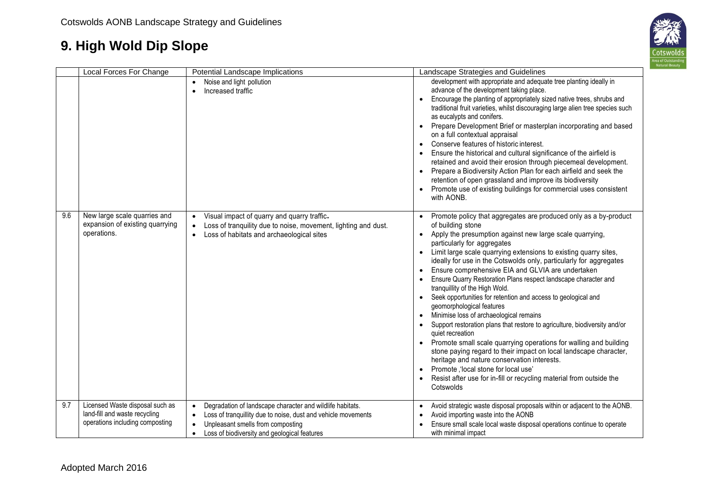

|     | Local Forces For Change                                                                             | Potential Landscape Implications                                                                                                                                                                                                                                    | Landscape Strategies and Guidelines                                                                                                                                                                                                                                                                                                                                                                                                                                                                                                                                                                                                                                                                                                                                                                                                                                                                                                                                                                                                                                                                      |
|-----|-----------------------------------------------------------------------------------------------------|---------------------------------------------------------------------------------------------------------------------------------------------------------------------------------------------------------------------------------------------------------------------|----------------------------------------------------------------------------------------------------------------------------------------------------------------------------------------------------------------------------------------------------------------------------------------------------------------------------------------------------------------------------------------------------------------------------------------------------------------------------------------------------------------------------------------------------------------------------------------------------------------------------------------------------------------------------------------------------------------------------------------------------------------------------------------------------------------------------------------------------------------------------------------------------------------------------------------------------------------------------------------------------------------------------------------------------------------------------------------------------------|
|     |                                                                                                     | Noise and light pollution<br>Increased traffic<br>$\bullet$                                                                                                                                                                                                         | development with appropriate and adequate tree planting ideally in<br>advance of the development taking place.<br>Encourage the planting of appropriately sized native trees, shrubs and<br>traditional fruit varieties, whilst discouraging large alien tree species such<br>as eucalypts and conifers.<br>Prepare Development Brief or masterplan incorporating and based<br>$\bullet$<br>on a full contextual appraisal<br>Conserve features of historic interest.<br>Ensure the historical and cultural significance of the airfield is<br>retained and avoid their erosion through piecemeal development.<br>Prepare a Biodiversity Action Plan for each airfield and seek the<br>retention of open grassland and improve its biodiversity<br>Promote use of existing buildings for commercial uses consistent<br>with AONB.                                                                                                                                                                                                                                                                        |
| 9.6 | New large scale quarries and<br>expansion of existing quarrying<br>operations.                      | Visual impact of quarry and quarry traffic-<br>$\bullet$<br>Loss of tranquility due to noise, movement, lighting and dust.<br>$\bullet$<br>Loss of habitats and archaeological sites<br>$\bullet$                                                                   | Promote policy that aggregates are produced only as a by-product<br>$\bullet$<br>of building stone<br>Apply the presumption against new large scale quarrying,<br>particularly for aggregates<br>Limit large scale quarrying extensions to existing quarry sites,<br>$\bullet$<br>ideally for use in the Cotswolds only, particularly for aggregates<br>Ensure comprehensive EIA and GLVIA are undertaken<br>Ensure Quarry Restoration Plans respect landscape character and<br>tranquillity of the High Wold.<br>Seek opportunities for retention and access to geological and<br>geomorphological features<br>Minimise loss of archaeological remains<br>$\bullet$<br>Support restoration plans that restore to agriculture, biodiversity and/or<br>quiet recreation<br>Promote small scale quarrying operations for walling and building<br>stone paying regard to their impact on local landscape character,<br>heritage and nature conservation interests.<br>Promote, 'local stone for local use'<br>$\bullet$<br>Resist after use for in-fill or recycling material from outside the<br>Cotswolds |
| 9.7 | Licensed Waste disposal such as<br>land-fill and waste recycling<br>operations including composting | Degradation of landscape character and wildlife habitats.<br>$\bullet$<br>Loss of tranquillity due to noise, dust and vehicle movements<br>$\bullet$<br>Unpleasant smells from composting<br>$\bullet$<br>Loss of biodiversity and geological features<br>$\bullet$ | Avoid strategic waste disposal proposals within or adjacent to the AONB.<br>$\bullet$<br>Avoid importing waste into the AONB<br>$\bullet$<br>Ensure small scale local waste disposal operations continue to operate<br>with minimal impact                                                                                                                                                                                                                                                                                                                                                                                                                                                                                                                                                                                                                                                                                                                                                                                                                                                               |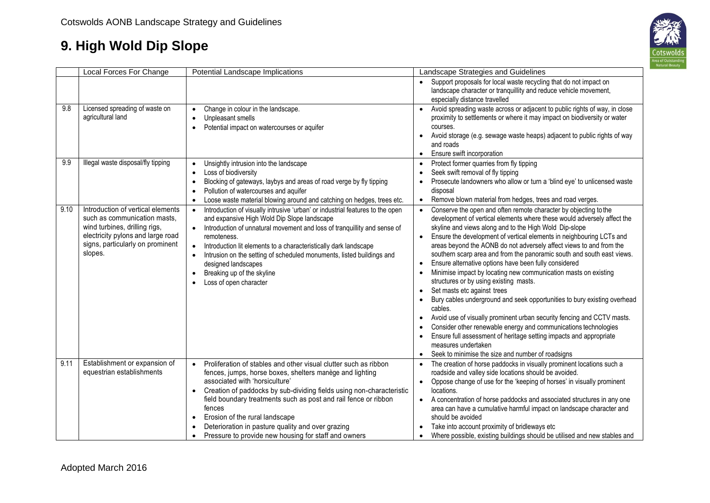

|      | Local Forces For Change                                                                                                                                                                | Potential Landscape Implications                                                                                                                                                                                                                                                                                                                                                                                                                                                                                                    | Landscape Strategies and Guidelines                                                                                                                                                                                                                                                                                                                                                                                                                                                                                                                                                                                                                                                                                                                                                                                                                                                                                                                                                                                                                                           |
|------|----------------------------------------------------------------------------------------------------------------------------------------------------------------------------------------|-------------------------------------------------------------------------------------------------------------------------------------------------------------------------------------------------------------------------------------------------------------------------------------------------------------------------------------------------------------------------------------------------------------------------------------------------------------------------------------------------------------------------------------|-------------------------------------------------------------------------------------------------------------------------------------------------------------------------------------------------------------------------------------------------------------------------------------------------------------------------------------------------------------------------------------------------------------------------------------------------------------------------------------------------------------------------------------------------------------------------------------------------------------------------------------------------------------------------------------------------------------------------------------------------------------------------------------------------------------------------------------------------------------------------------------------------------------------------------------------------------------------------------------------------------------------------------------------------------------------------------|
|      |                                                                                                                                                                                        |                                                                                                                                                                                                                                                                                                                                                                                                                                                                                                                                     | Support proposals for local waste recycling that do not impact on<br>$\bullet$<br>landscape character or tranquillity and reduce vehicle movement,<br>especially distance travelled                                                                                                                                                                                                                                                                                                                                                                                                                                                                                                                                                                                                                                                                                                                                                                                                                                                                                           |
| 9.8  | Licensed spreading of waste on<br>agricultural land                                                                                                                                    | Change in colour in the landscape.<br>$\bullet$<br>Unpleasant smells<br>$\bullet$<br>Potential impact on watercourses or aquifer<br>$\bullet$                                                                                                                                                                                                                                                                                                                                                                                       | Avoid spreading waste across or adjacent to public rights of way, in close<br>$\bullet$<br>proximity to settlements or where it may impact on biodiversity or water<br>courses.<br>Avoid storage (e.g. sewage waste heaps) adjacent to public rights of way<br>$\bullet$<br>and roads<br>Ensure swift incorporation<br>$\bullet$                                                                                                                                                                                                                                                                                                                                                                                                                                                                                                                                                                                                                                                                                                                                              |
| 9.9  | Illegal waste disposal/fly tipping                                                                                                                                                     | Unsightly intrusion into the landscape<br>$\bullet$<br>Loss of biodiversity<br>$\bullet$<br>Blocking of gateways, laybys and areas of road verge by fly tipping<br>$\bullet$<br>Pollution of watercourses and aquifer<br>$\bullet$<br>Loose waste material blowing around and catching on hedges, trees etc.<br>$\bullet$                                                                                                                                                                                                           | Protect former quarries from fly tipping<br>$\bullet$<br>Seek swift removal of fly tipping<br>Prosecute landowners who allow or turn a 'blind eye' to unlicensed waste<br>disposal<br>Remove blown material from hedges, trees and road verges.<br>$\bullet$                                                                                                                                                                                                                                                                                                                                                                                                                                                                                                                                                                                                                                                                                                                                                                                                                  |
| 9.10 | Introduction of vertical elements<br>such as communication masts,<br>wind turbines, drilling rigs,<br>electricity pylons and large road<br>signs, particularly on prominent<br>slopes. | Introduction of visually intrusive 'urban' or industrial features to the open<br>$\bullet$<br>and expansive High Wold Dip Slope landscape<br>Introduction of unnatural movement and loss of tranquillity and sense of<br>remoteness.<br>Introduction lit elements to a characteristically dark landscape<br>Intrusion on the setting of scheduled monuments, listed buildings and<br>$\bullet$<br>designed landscapes<br>Breaking up of the skyline<br>$\bullet$<br>Loss of open character                                          | Conserve the open and often remote character by objecting to the<br>development of vertical elements where these would adversely affect the<br>skyline and views along and to the High Wold Dip-slope<br>Ensure the development of vertical elements in neighbouring LCTs and<br>$\bullet$<br>areas beyond the AONB do not adversely affect views to and from the<br>southern scarp area and from the panoramic south and south east views.<br>Ensure alternative options have been fully considered<br>$\bullet$<br>Minimise impact by locating new communication masts on existing<br>structures or by using existing masts.<br>Set masts etc against trees<br>$\bullet$<br>Bury cables underground and seek opportunities to bury existing overhead<br>cables.<br>Avoid use of visually prominent urban security fencing and CCTV masts.<br>$\bullet$<br>Consider other renewable energy and communications technologies<br>Ensure full assessment of heritage setting impacts and appropriate<br>measures undertaken<br>Seek to minimise the size and number of roadsigns |
| 9.11 | Establishment or expansion of<br>equestrian establishments                                                                                                                             | Proliferation of stables and other visual clutter such as ribbon<br>$\bullet$<br>fences, jumps, horse boxes, shelters manège and lighting<br>associated with 'horsiculture'<br>Creation of paddocks by sub-dividing fields using non-characteristic<br>$\bullet$<br>field boundary treatments such as post and rail fence or ribbon<br>fences<br>Erosion of the rural landscape<br>$\bullet$<br>Deterioration in pasture quality and over grazing<br>$\bullet$<br>Pressure to provide new housing for staff and owners<br>$\bullet$ | The creation of horse paddocks in visually prominent locations such a<br>$\bullet$<br>roadside and valley side locations should be avoided.<br>Oppose change of use for the 'keeping of horses' in visually prominent<br>$\bullet$<br>locations.<br>A concentration of horse paddocks and associated structures in any one<br>$\bullet$<br>area can have a cumulative harmful impact on landscape character and<br>should be avoided<br>Take into account proximity of bridleways etc<br>$\bullet$<br>Where possible, existing buildings should be utilised and new stables and                                                                                                                                                                                                                                                                                                                                                                                                                                                                                               |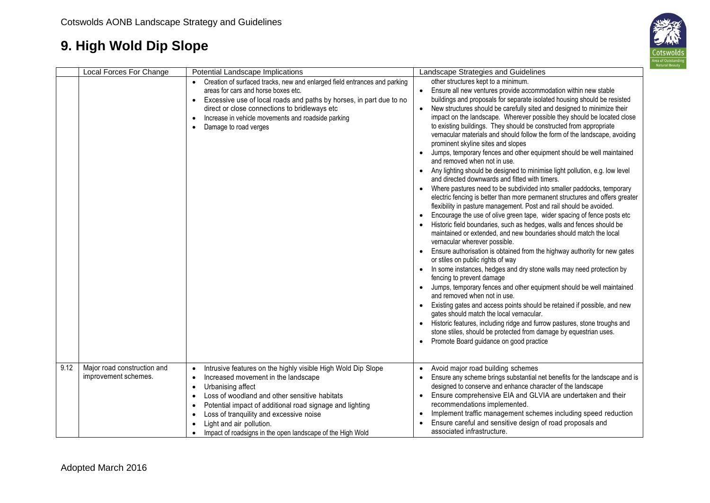

|      | Local Forces For Change                             | Potential Landscape Implications                                                                                                                                                                                                                                                                                                                                                                                                                                                   | Landscape Strategies and Guidelines                                                                                                                                                                                                                                                                                                                                                                                                                                                                                                                                                                                                                                                                                                                                                                                                                                                                                                                                                                                                                                                                                                                                                                                                                                                                                                                                                                                                                                                                                                                                                                                                                                                                                                                                                                                                                                                                                                                                             |
|------|-----------------------------------------------------|------------------------------------------------------------------------------------------------------------------------------------------------------------------------------------------------------------------------------------------------------------------------------------------------------------------------------------------------------------------------------------------------------------------------------------------------------------------------------------|---------------------------------------------------------------------------------------------------------------------------------------------------------------------------------------------------------------------------------------------------------------------------------------------------------------------------------------------------------------------------------------------------------------------------------------------------------------------------------------------------------------------------------------------------------------------------------------------------------------------------------------------------------------------------------------------------------------------------------------------------------------------------------------------------------------------------------------------------------------------------------------------------------------------------------------------------------------------------------------------------------------------------------------------------------------------------------------------------------------------------------------------------------------------------------------------------------------------------------------------------------------------------------------------------------------------------------------------------------------------------------------------------------------------------------------------------------------------------------------------------------------------------------------------------------------------------------------------------------------------------------------------------------------------------------------------------------------------------------------------------------------------------------------------------------------------------------------------------------------------------------------------------------------------------------------------------------------------------------|
|      |                                                     | Creation of surfaced tracks, new and enlarged field entrances and parking<br>areas for cars and horse boxes etc.<br>Excessive use of local roads and paths by horses, in part due to no<br>direct or close connections to bridleways etc<br>Increase in vehicle movements and roadside parking<br>$\bullet$<br>Damage to road verges<br>$\bullet$                                                                                                                                  | other structures kept to a minimum.<br>Ensure all new ventures provide accommodation within new stable<br>buildings and proposals for separate isolated housing should be resisted<br>New structures should be carefully sited and designed to minimize their<br>impact on the landscape. Wherever possible they should be located close<br>to existing buildings. They should be constructed from appropriate<br>vernacular materials and should follow the form of the landscape, avoiding<br>prominent skyline sites and slopes<br>Jumps, temporary fences and other equipment should be well maintained<br>$\bullet$<br>and removed when not in use.<br>Any lighting should be designed to minimise light pollution, e.g. low level<br>$\bullet$<br>and directed downwards and fitted with timers.<br>Where pastures need to be subdivided into smaller paddocks, temporary<br>electric fencing is better than more permanent structures and offers greater<br>flexibility in pasture management. Post and rail should be avoided.<br>Encourage the use of olive green tape, wider spacing of fence posts etc<br>$\bullet$<br>Historic field boundaries, such as hedges, walls and fences should be<br>maintained or extended, and new boundaries should match the local<br>vernacular wherever possible.<br>Ensure authorisation is obtained from the highway authority for new gates<br>$\bullet$<br>or stiles on public rights of way<br>In some instances, hedges and dry stone walls may need protection by<br>fencing to prevent damage<br>Jumps, temporary fences and other equipment should be well maintained<br>and removed when not in use.<br>Existing gates and access points should be retained if possible, and new<br>gates should match the local vernacular.<br>Historic features, including ridge and furrow pastures, stone troughs and<br>stone stiles, should be protected from damage by equestrian uses.<br>Promote Board guidance on good practice |
| 9.12 | Major road construction and<br>improvement schemes. | Intrusive features on the highly visible High Wold Dip Slope<br>$\bullet$<br>Increased movement in the landscape<br>$\bullet$<br>Urbanising affect<br>$\bullet$<br>Loss of woodland and other sensitive habitats<br>$\bullet$<br>Potential impact of additional road signage and lighting<br>$\bullet$<br>Loss of tranquility and excessive noise<br>$\bullet$<br>Light and air pollution.<br>$\bullet$<br>Impact of roadsigns in the open landscape of the High Wold<br>$\bullet$ | Avoid major road building schemes<br>$\bullet$<br>Ensure any scheme brings substantial net benefits for the landscape and is<br>designed to conserve and enhance character of the landscape<br>Ensure comprehensive EIA and GLVIA are undertaken and their<br>$\bullet$<br>recommendations implemented.<br>Implement traffic management schemes including speed reduction<br>$\bullet$<br>Ensure careful and sensitive design of road proposals and<br>associated infrastructure.                                                                                                                                                                                                                                                                                                                                                                                                                                                                                                                                                                                                                                                                                                                                                                                                                                                                                                                                                                                                                                                                                                                                                                                                                                                                                                                                                                                                                                                                                               |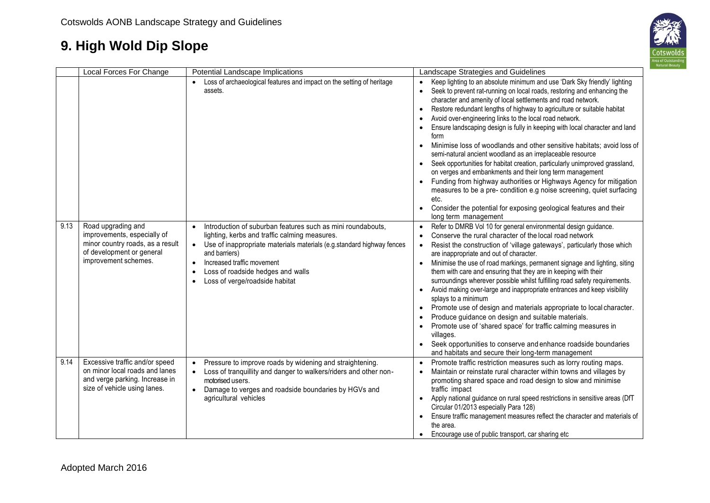

|      | Local Forces For Change                                                                                                                    | Potential Landscape Implications                                                                                                                                                                                                                                                                                                      | Landscape Strategies and Guidelines                                                                                                                                                                                                                                                                                                                                                                                                                                                                                                                                                                                                                                                                                                                                                                                                                                                                                                                                                                                                         |
|------|--------------------------------------------------------------------------------------------------------------------------------------------|---------------------------------------------------------------------------------------------------------------------------------------------------------------------------------------------------------------------------------------------------------------------------------------------------------------------------------------|---------------------------------------------------------------------------------------------------------------------------------------------------------------------------------------------------------------------------------------------------------------------------------------------------------------------------------------------------------------------------------------------------------------------------------------------------------------------------------------------------------------------------------------------------------------------------------------------------------------------------------------------------------------------------------------------------------------------------------------------------------------------------------------------------------------------------------------------------------------------------------------------------------------------------------------------------------------------------------------------------------------------------------------------|
|      |                                                                                                                                            | Loss of archaeological features and impact on the setting of heritage<br>assets.                                                                                                                                                                                                                                                      | Keep lighting to an absolute minimum and use 'Dark Sky friendly' lighting<br>$\bullet$<br>Seek to prevent rat-running on local roads, restoring and enhancing the<br>character and amenity of local settlements and road network.<br>Restore redundant lengths of highway to agriculture or suitable habitat<br>$\bullet$<br>Avoid over-engineering links to the local road network.<br>Ensure landscaping design is fully in keeping with local character and land<br>form<br>Minimise loss of woodlands and other sensitive habitats; avoid loss of<br>$\bullet$<br>semi-natural ancient woodland as an irreplaceable resource<br>Seek opportunities for habitat creation, particularly unimproved grassland,<br>$\bullet$<br>on verges and embankments and their long term management<br>Funding from highway authorities or Highways Agency for mitigation<br>measures to be a pre- condition e.g noise screening, quiet surfacing<br>etc.<br>Consider the potential for exposing geological features and their<br>long term management |
| 9.13 | Road upgrading and<br>improvements, especially of<br>minor country roads, as a result<br>of development or general<br>improvement schemes. | Introduction of suburban features such as mini roundabouts,<br>lighting, kerbs and traffic calming measures.<br>Use of inappropriate materials materials (e.g.standard highway fences<br>$\bullet$<br>and barriers)<br>Increased traffic movement<br>$\bullet$<br>Loss of roadside hedges and walls<br>Loss of verge/roadside habitat | Refer to DMRB Vol 10 for general environmental design guidance.<br>Conserve the rural character of the local road network<br>$\bullet$<br>Resist the construction of 'village gateways', particularly those which<br>$\bullet$<br>are inappropriate and out of character.<br>Minimise the use of road markings, permanent signage and lighting, siting<br>$\bullet$<br>them with care and ensuring that they are in keeping with their<br>surroundings wherever possible whilst fulfilling road safety requirements.<br>Avoid making over-large and inappropriate entrances and keep visibility<br>splays to a minimum<br>Promote use of design and materials appropriate to local character.<br>Produce guidance on design and suitable materials.<br>Promote use of 'shared space' for traffic calming measures in<br>villages.<br>Seek opportunities to conserve and enhance roadside boundaries<br>and habitats and secure their long-term management                                                                                   |
| 9.14 | Excessive traffic and/or speed<br>on minor local roads and lanes<br>and verge parking. Increase in<br>size of vehicle using lanes.         | Pressure to improve roads by widening and straightening.<br>$\bullet$<br>Loss of tranquillity and danger to walkers/riders and other non-<br>$\bullet$<br>motorised users.<br>Damage to verges and roadside boundaries by HGVs and<br>agricultural vehicles                                                                           | Promote traffic restriction measures such as lorry routing maps.<br>$\bullet$<br>Maintain or reinstate rural character within towns and villages by<br>promoting shared space and road design to slow and minimise<br>traffic impact<br>Apply national guidance on rural speed restrictions in sensitive areas (DfT<br>$\bullet$<br>Circular 01/2013 especially Para 128)<br>Ensure traffic management measures reflect the character and materials of<br>$\bullet$<br>the area.<br>Encourage use of public transport, car sharing etc<br>$\bullet$                                                                                                                                                                                                                                                                                                                                                                                                                                                                                         |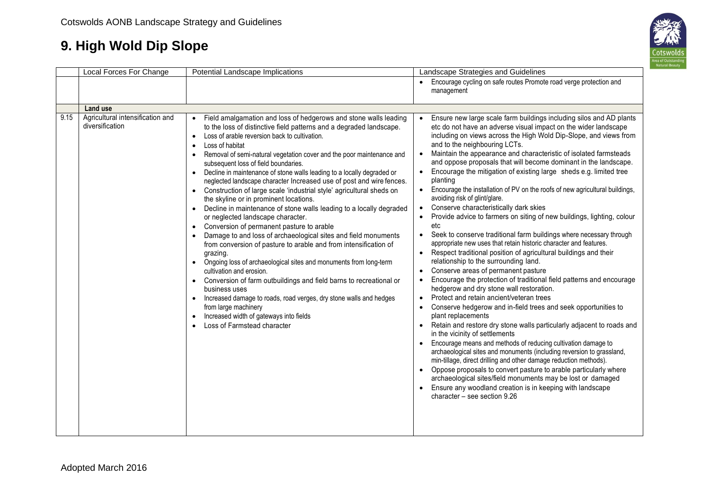

|      | Local Forces For Change                             | Potential Landscape Implications                                                                                                                                                                                                                                                                                                                                                                                                                                                                                                                                                                                                                                                                                                                                                                                                                                                                                                                                                                                                                                                                                                                                                                                                                                                                                                                                                                                                        | Landscape Strategies and Guidelines                                                                                                                                                                                                                                                                                                                                                                                                                                                                                                                                                                                                                                                                                                                                                                                                                                                                                                                                                                                                                                                                                                                                                                                                                                                                                                                                                                                                                                                                                                                                                                                                                                                                                                                                                                                                                                                                                                                                                      |
|------|-----------------------------------------------------|-----------------------------------------------------------------------------------------------------------------------------------------------------------------------------------------------------------------------------------------------------------------------------------------------------------------------------------------------------------------------------------------------------------------------------------------------------------------------------------------------------------------------------------------------------------------------------------------------------------------------------------------------------------------------------------------------------------------------------------------------------------------------------------------------------------------------------------------------------------------------------------------------------------------------------------------------------------------------------------------------------------------------------------------------------------------------------------------------------------------------------------------------------------------------------------------------------------------------------------------------------------------------------------------------------------------------------------------------------------------------------------------------------------------------------------------|------------------------------------------------------------------------------------------------------------------------------------------------------------------------------------------------------------------------------------------------------------------------------------------------------------------------------------------------------------------------------------------------------------------------------------------------------------------------------------------------------------------------------------------------------------------------------------------------------------------------------------------------------------------------------------------------------------------------------------------------------------------------------------------------------------------------------------------------------------------------------------------------------------------------------------------------------------------------------------------------------------------------------------------------------------------------------------------------------------------------------------------------------------------------------------------------------------------------------------------------------------------------------------------------------------------------------------------------------------------------------------------------------------------------------------------------------------------------------------------------------------------------------------------------------------------------------------------------------------------------------------------------------------------------------------------------------------------------------------------------------------------------------------------------------------------------------------------------------------------------------------------------------------------------------------------------------------------------------------------|
|      |                                                     |                                                                                                                                                                                                                                                                                                                                                                                                                                                                                                                                                                                                                                                                                                                                                                                                                                                                                                                                                                                                                                                                                                                                                                                                                                                                                                                                                                                                                                         | Encourage cycling on safe routes Promote road verge protection and<br>management                                                                                                                                                                                                                                                                                                                                                                                                                                                                                                                                                                                                                                                                                                                                                                                                                                                                                                                                                                                                                                                                                                                                                                                                                                                                                                                                                                                                                                                                                                                                                                                                                                                                                                                                                                                                                                                                                                         |
|      | <b>Land use</b>                                     |                                                                                                                                                                                                                                                                                                                                                                                                                                                                                                                                                                                                                                                                                                                                                                                                                                                                                                                                                                                                                                                                                                                                                                                                                                                                                                                                                                                                                                         |                                                                                                                                                                                                                                                                                                                                                                                                                                                                                                                                                                                                                                                                                                                                                                                                                                                                                                                                                                                                                                                                                                                                                                                                                                                                                                                                                                                                                                                                                                                                                                                                                                                                                                                                                                                                                                                                                                                                                                                          |
| 9.15 | Agricultural intensification and<br>diversification | Field amalgamation and loss of hedgerows and stone walls leading<br>to the loss of distinctive field patterns and a degraded landscape.<br>Loss of arable reversion back to cultivation.<br>$\bullet$<br>Loss of habitat<br>$\bullet$<br>Removal of semi-natural vegetation cover and the poor maintenance and<br>$\bullet$<br>subsequent loss of field boundaries.<br>Decline in maintenance of stone walls leading to a locally degraded or<br>$\bullet$<br>neglected landscape character Increased use of post and wire fences.<br>Construction of large scale 'industrial style' agricultural sheds on<br>$\bullet$<br>the skyline or in prominent locations.<br>Decline in maintenance of stone walls leading to a locally degraded<br>$\bullet$<br>or neglected landscape character.<br>Conversion of permanent pasture to arable<br>$\bullet$<br>Damage to and loss of archaeological sites and field monuments<br>from conversion of pasture to arable and from intensification of<br>grazing.<br>Ongoing loss of archaeological sites and monuments from long-term<br>$\bullet$<br>cultivation and erosion.<br>Conversion of farm outbuildings and field barns to recreational or<br>$\bullet$<br>business uses<br>Increased damage to roads, road verges, dry stone walls and hedges<br>$\bullet$<br>from large machinery<br>Increased width of gateways into fields<br>$\bullet$<br>Loss of Farmstead character<br>$\bullet$ | Ensure new large scale farm buildings including silos and AD plants<br>$\bullet$<br>etc do not have an adverse visual impact on the wider landscape<br>including on views across the High Wold Dip-Slope, and views from<br>and to the neighbouring LCTs.<br>Maintain the appearance and characteristic of isolated farmsteads<br>$\bullet$<br>and oppose proposals that will become dominant in the landscape.<br>• Encourage the mitigation of existing large sheds e.g. limited tree<br>planting<br>Encourage the installation of PV on the roofs of new agricultural buildings,<br>$\bullet$<br>avoiding risk of glint/glare.<br>Conserve characteristically dark skies<br>$\bullet$<br>Provide advice to farmers on siting of new buildings, lighting, colour<br>etc<br>Seek to conserve traditional farm buildings where necessary through<br>$\bullet$<br>appropriate new uses that retain historic character and features.<br>Respect traditional position of agricultural buildings and their<br>$\bullet$<br>relationship to the surrounding land.<br>Conserve areas of permanent pasture<br>$\bullet$<br>Encourage the protection of traditional field patterns and encourage<br>$\bullet$<br>hedgerow and dry stone wall restoration.<br>Protect and retain ancient/veteran trees<br>$\bullet$<br>Conserve hedgerow and in-field trees and seek opportunities to<br>$\bullet$<br>plant replacements<br>• Retain and restore dry stone walls particularly adjacent to roads and<br>in the vicinity of settlements<br>Encourage means and methods of reducing cultivation damage to<br>archaeological sites and monuments (including reversion to grassland,<br>min-tillage, direct drilling and other damage reduction methods).<br>Oppose proposals to convert pasture to arable particularly where<br>$\bullet$<br>archaeological sites/field monuments may be lost or damaged<br>Ensure any woodland creation is in keeping with landscape<br>character - see section 9.26 |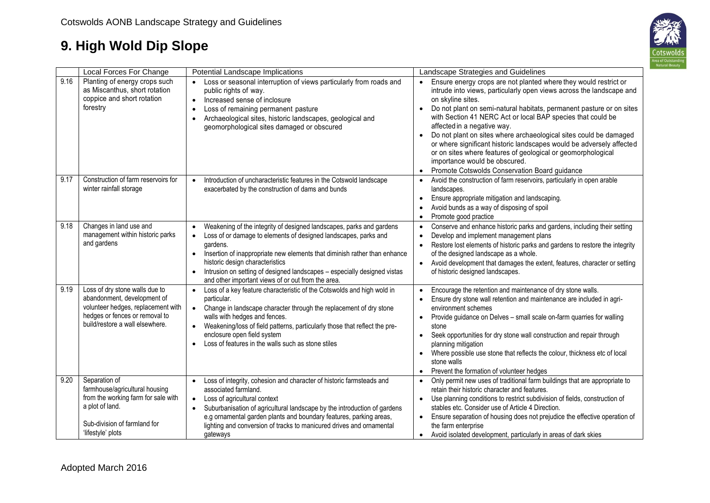

|      | Local Forces For Change                                                                                                                                                  | Potential Landscape Implications                                                                                                                                                                                                                                                                                                                                                                                                                          | Landscape Strategies and Guidelines                                                                                                                                                                                                                                                                                                                                                                                                                                                                                                                                                                                                                                       |
|------|--------------------------------------------------------------------------------------------------------------------------------------------------------------------------|-----------------------------------------------------------------------------------------------------------------------------------------------------------------------------------------------------------------------------------------------------------------------------------------------------------------------------------------------------------------------------------------------------------------------------------------------------------|---------------------------------------------------------------------------------------------------------------------------------------------------------------------------------------------------------------------------------------------------------------------------------------------------------------------------------------------------------------------------------------------------------------------------------------------------------------------------------------------------------------------------------------------------------------------------------------------------------------------------------------------------------------------------|
| 9.16 | Planting of energy crops such<br>as Miscanthus, short rotation<br>coppice and short rotation<br>forestry                                                                 | Loss or seasonal interruption of views particularly from roads and<br>$\bullet$<br>public rights of way.<br>Increased sense of inclosure<br>$\bullet$<br>Loss of remaining permanent pasture<br>$\bullet$<br>Archaeological sites, historic landscapes, geological and<br>$\bullet$<br>geomorphological sites damaged or obscured                                                                                                                         | Ensure energy crops are not planted where they would restrict or<br>$\bullet$<br>intrude into views, particularly open views across the landscape and<br>on skyline sites.<br>Do not plant on semi-natural habitats, permanent pasture or on sites<br>$\bullet$<br>with Section 41 NERC Act or local BAP species that could be<br>affected in a negative way.<br>Do not plant on sites where archaeological sites could be damaged<br>$\bullet$<br>or where significant historic landscapes would be adversely affected<br>or on sites where features of geological or geomorphological<br>importance would be obscured.<br>Promote Cotswolds Conservation Board guidance |
| 9.17 | Construction of farm reservoirs for<br>winter rainfall storage                                                                                                           | Introduction of uncharacteristic features in the Cotswold landscape<br>$\bullet$<br>exacerbated by the construction of dams and bunds                                                                                                                                                                                                                                                                                                                     | Avoid the construction of farm reservoirs, particularly in open arable<br>$\bullet$<br>landscapes.<br>Ensure appropriate mitigation and landscaping.<br>$\bullet$<br>Avoid bunds as a way of disposing of spoil<br>Promote good practice                                                                                                                                                                                                                                                                                                                                                                                                                                  |
| 9.18 | Changes in land use and<br>management within historic parks<br>and gardens                                                                                               | Weakening of the integrity of designed landscapes, parks and gardens<br>$\bullet$<br>Loss of or damage to elements of designed landscapes, parks and<br>$\bullet$<br>gardens.<br>Insertion of inappropriate new elements that diminish rather than enhance<br>$\bullet$<br>historic design characteristics<br>Intrusion on setting of designed landscapes - especially designed vistas<br>$\bullet$<br>and other important views of or out from the area. | Conserve and enhance historic parks and gardens, including their setting<br>$\bullet$<br>Develop and implement management plans<br>$\bullet$<br>Restore lost elements of historic parks and gardens to restore the integrity<br>$\bullet$<br>of the designed landscape as a whole.<br>Avoid development that damages the extent, features, character or setting<br>$\bullet$<br>of historic designed landscapes.                                                                                                                                                                                                                                                          |
| 9.19 | Loss of dry stone walls due to<br>abandonment, development of<br>volunteer hedges, replacement with<br>hedges or fences or removal to<br>build/restore a wall elsewhere. | Loss of a key feature characteristic of the Cotswolds and high wold in<br>$\bullet$<br>particular.<br>Change in landscape character through the replacement of dry stone<br>$\bullet$<br>walls with hedges and fences.<br>Weakening/loss of field patterns, particularly those that reflect the pre-<br>enclosure open field system<br>Loss of features in the walls such as stone stiles<br>$\bullet$                                                    | Encourage the retention and maintenance of dry stone walls.<br>$\bullet$<br>Ensure dry stone wall retention and maintenance are included in agri-<br>$\bullet$<br>environment schemes<br>Provide guidance on Delves - small scale on-farm quarries for walling<br>$\bullet$<br>stone<br>Seek opportunities for dry stone wall construction and repair through<br>$\bullet$<br>planning mitigation<br>Where possible use stone that reflects the colour, thickness etc of local<br>$\bullet$<br>stone walls<br>Prevent the formation of volunteer hedges<br>$\bullet$                                                                                                      |
| 9.20 | Separation of<br>farmhouse/agricultural housing<br>from the working farm for sale with<br>a plot of land.<br>Sub-division of farmland for<br>'lifestyle' plots           | Loss of integrity, cohesion and character of historic farmsteads and<br>associated farmland.<br>Loss of agricultural context<br>$\bullet$<br>Suburbanisation of agricultural landscape by the introduction of gardens<br>$\bullet$<br>e.g ornamental garden plants and boundary features, parking areas,<br>lighting and conversion of tracks to manicured drives and ornamental<br>gateways                                                              | Only permit new uses of traditional farm buildings that are appropriate to<br>$\bullet$<br>retain their historic character and features.<br>Use planning conditions to restrict subdivision of fields, construction of<br>$\bullet$<br>stables etc. Consider use of Article 4 Direction.<br>Ensure separation of housing does not prejudice the effective operation of<br>$\bullet$<br>the farm enterprise<br>• Avoid isolated development, particularly in areas of dark skies                                                                                                                                                                                           |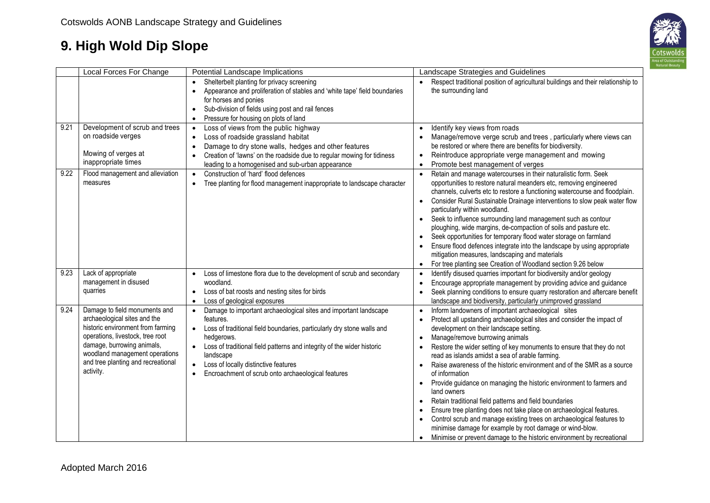

|              | Local Forces For Change                                                                                                                                                                                                                                   | Potential Landscape Implications                                                                                                                                                                                                                                                                                                                                                                  | Landscape Strategies and Guidelines                                                                                                                                                                                                                                                                                                                                                                                                                                                                                                                                                                                                                                                                                                                                                                                                                                                                                                                                                 |
|--------------|-----------------------------------------------------------------------------------------------------------------------------------------------------------------------------------------------------------------------------------------------------------|---------------------------------------------------------------------------------------------------------------------------------------------------------------------------------------------------------------------------------------------------------------------------------------------------------------------------------------------------------------------------------------------------|-------------------------------------------------------------------------------------------------------------------------------------------------------------------------------------------------------------------------------------------------------------------------------------------------------------------------------------------------------------------------------------------------------------------------------------------------------------------------------------------------------------------------------------------------------------------------------------------------------------------------------------------------------------------------------------------------------------------------------------------------------------------------------------------------------------------------------------------------------------------------------------------------------------------------------------------------------------------------------------|
|              |                                                                                                                                                                                                                                                           | Shelterbelt planting for privacy screening<br>Appearance and proliferation of stables and 'white tape' field boundaries<br>$\bullet$<br>for horses and ponies<br>Sub-division of fields using post and rail fences<br>$\bullet$<br>Pressure for housing on plots of land<br>$\bullet$                                                                                                             | Respect traditional position of agricultural buildings and their relationship to<br>the surrounding land                                                                                                                                                                                                                                                                                                                                                                                                                                                                                                                                                                                                                                                                                                                                                                                                                                                                            |
| 9.21<br>9.22 | Development of scrub and trees<br>on roadside verges<br>Mowing of verges at<br>inappropriate times                                                                                                                                                        | Loss of views from the public highway<br>$\bullet$<br>Loss of roadside grassland habitat<br>$\bullet$<br>Damage to dry stone walls, hedges and other features<br>$\bullet$<br>Creation of 'lawns' on the roadside due to regular mowing for tidiness<br>leading to a homogenised and sub-urban appearance                                                                                         | Identify key views from roads<br>$\bullet$<br>Manage/remove verge scrub and trees, particularly where views can<br>be restored or where there are benefits for biodiversity.<br>Reintroduce appropriate verge management and mowing<br>$\bullet$<br>Promote best management of verges<br>$\bullet$                                                                                                                                                                                                                                                                                                                                                                                                                                                                                                                                                                                                                                                                                  |
|              | Flood management and alleviation<br>measures                                                                                                                                                                                                              | Construction of 'hard' flood defences<br>$\bullet$<br>Tree planting for flood management inappropriate to landscape character<br>$\bullet$                                                                                                                                                                                                                                                        | Retain and manage watercourses in their naturalistic form. Seek<br>$\bullet$<br>opportunities to restore natural meanders etc, removing engineered<br>channels, culverts etc to restore a functioning watercourse and floodplain.<br>Consider Rural Sustainable Drainage interventions to slow peak water flow<br>particularly within woodland.<br>• Seek to influence surrounding land management such as contour<br>ploughing, wide margins, de-compaction of soils and pasture etc.<br>Seek opportunities for temporary flood water storage on farmland<br>Ensure flood defences integrate into the landscape by using appropriate<br>mitigation measures, landscaping and materials<br>For tree planting see Creation of Woodland section 9.26 below<br>$\bullet$                                                                                                                                                                                                               |
| 9.23         | Lack of appropriate<br>management in disused<br>quarries                                                                                                                                                                                                  | Loss of limestone flora due to the development of scrub and secondary<br>woodland.<br>Loss of bat roosts and nesting sites for birds<br>$\bullet$<br>Loss of geological exposures<br>$\bullet$                                                                                                                                                                                                    | Identify disused quarries important for biodiversity and/or geology<br>$\bullet$<br>Encourage appropriate management by providing advice and guidance<br>$\bullet$<br>Seek planning conditions to ensure quarry restoration and aftercare benefit<br>landscape and biodiversity, particularly unimproved grassland                                                                                                                                                                                                                                                                                                                                                                                                                                                                                                                                                                                                                                                                  |
| 9.24         | Damage to field monuments and<br>archaeological sites and the<br>historic environment from farming<br>operations, livestock, tree root<br>damage, burrowing animals,<br>woodland management operations<br>and tree planting and recreational<br>activity. | Damage to important archaeological sites and important landscape<br>$\bullet$<br>features.<br>Loss of traditional field boundaries, particularly dry stone walls and<br>hedgerows.<br>Loss of traditional field patterns and integrity of the wider historic<br>landscape<br>Loss of locally distinctive features<br>$\bullet$<br>Encroachment of scrub onto archaeological features<br>$\bullet$ | Inform landowners of important archaeological sites<br>$\bullet$<br>Protect all upstanding archaeological sites and consider the impact of<br>$\bullet$<br>development on their landscape setting.<br>Manage/remove burrowing animals<br>$\bullet$<br>Restore the wider setting of key monuments to ensure that they do not<br>read as islands amidst a sea of arable farming.<br>Raise awareness of the historic environment and of the SMR as a source<br>$\bullet$<br>of information<br>Provide guidance on managing the historic environment to farmers and<br>$\bullet$<br>land owners<br>Retain traditional field patterns and field boundaries<br>$\bullet$<br>Ensure tree planting does not take place on archaeological features.<br>Control scrub and manage existing trees on archaeological features to<br>$\bullet$<br>minimise damage for example by root damage or wind-blow.<br>Minimise or prevent damage to the historic environment by recreational<br>$\bullet$ |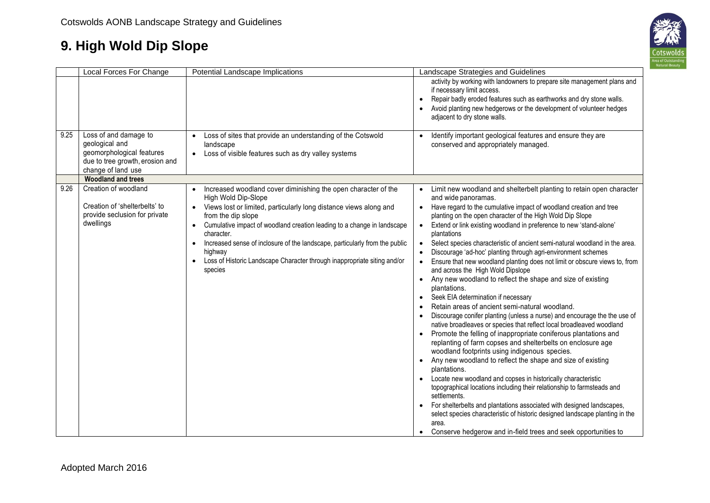

|      | Local Forces For Change                                                                                                       | Potential Landscape Implications                                                                                                                                                                                                                                                                                                                                                                                                                                                                    | Landscape Strategies and Guidelines                                                                                                                                                                                                                                                                                                                                                                                                                                                                                                                                                                                                                                                                                                                                                                                                                                                                                                                                                                                                                                                                                                                                                                                                                                                                                                                                                                                                                                                                                                                                                                                                                                             |
|------|-------------------------------------------------------------------------------------------------------------------------------|-----------------------------------------------------------------------------------------------------------------------------------------------------------------------------------------------------------------------------------------------------------------------------------------------------------------------------------------------------------------------------------------------------------------------------------------------------------------------------------------------------|---------------------------------------------------------------------------------------------------------------------------------------------------------------------------------------------------------------------------------------------------------------------------------------------------------------------------------------------------------------------------------------------------------------------------------------------------------------------------------------------------------------------------------------------------------------------------------------------------------------------------------------------------------------------------------------------------------------------------------------------------------------------------------------------------------------------------------------------------------------------------------------------------------------------------------------------------------------------------------------------------------------------------------------------------------------------------------------------------------------------------------------------------------------------------------------------------------------------------------------------------------------------------------------------------------------------------------------------------------------------------------------------------------------------------------------------------------------------------------------------------------------------------------------------------------------------------------------------------------------------------------------------------------------------------------|
|      |                                                                                                                               |                                                                                                                                                                                                                                                                                                                                                                                                                                                                                                     | activity by working with landowners to prepare site management plans and<br>if necessary limit access.<br>Repair badly eroded features such as earthworks and dry stone walls.<br>$\bullet$<br>Avoid planting new hedgerows or the development of volunteer hedges<br>adjacent to dry stone walls.                                                                                                                                                                                                                                                                                                                                                                                                                                                                                                                                                                                                                                                                                                                                                                                                                                                                                                                                                                                                                                                                                                                                                                                                                                                                                                                                                                              |
| 9.25 | Loss of and damage to<br>geological and<br>geomorphological features<br>due to tree growth, erosion and<br>change of land use | Loss of sites that provide an understanding of the Cotswold<br>$\bullet$<br>landscape<br>Loss of visible features such as dry valley systems<br>$\bullet$                                                                                                                                                                                                                                                                                                                                           | Identify important geological features and ensure they are<br>$\bullet$<br>conserved and appropriately managed.                                                                                                                                                                                                                                                                                                                                                                                                                                                                                                                                                                                                                                                                                                                                                                                                                                                                                                                                                                                                                                                                                                                                                                                                                                                                                                                                                                                                                                                                                                                                                                 |
|      | <b>Woodland and trees</b>                                                                                                     |                                                                                                                                                                                                                                                                                                                                                                                                                                                                                                     |                                                                                                                                                                                                                                                                                                                                                                                                                                                                                                                                                                                                                                                                                                                                                                                                                                                                                                                                                                                                                                                                                                                                                                                                                                                                                                                                                                                                                                                                                                                                                                                                                                                                                 |
| 9.26 | Creation of woodland<br>Creation of 'shelterbelts' to<br>provide seclusion for private<br>dwellings                           | Increased woodland cover diminishing the open character of the<br>High Wold Dip-Slope<br>• Views lost or limited, particularly long distance views along and<br>from the dip slope<br>Cumulative impact of woodland creation leading to a change in landscape<br>$\bullet$<br>character.<br>Increased sense of inclosure of the landscape, particularly from the public<br>$\bullet$<br>highway<br>Loss of Historic Landscape Character through inappropriate siting and/or<br>$\bullet$<br>species | Limit new woodland and shelterbelt planting to retain open character<br>and wide panoramas.<br>Have regard to the cumulative impact of woodland creation and tree<br>$\bullet$<br>planting on the open character of the High Wold Dip Slope<br>Extend or link existing woodland in preference to new 'stand-alone'<br>$\bullet$<br>plantations<br>Select species characteristic of ancient semi-natural woodland in the area.<br>$\bullet$<br>Discourage 'ad-hoc' planting through agri-environment schemes<br>Ensure that new woodland planting does not limit or obscure views to, from<br>$\bullet$<br>and across the High Wold Dipslope<br>Any new woodland to reflect the shape and size of existing<br>$\bullet$<br>plantations.<br>Seek EIA determination if necessary<br>Retain areas of ancient semi-natural woodland.<br>Discourage conifer planting (unless a nurse) and encourage the the use of<br>native broadleaves or species that reflect local broadleaved woodland<br>Promote the felling of inappropriate coniferous plantations and<br>replanting of farm copses and shelterbelts on enclosure age<br>woodland footprints using indigenous species.<br>Any new woodland to reflect the shape and size of existing<br>$\bullet$<br>plantations.<br>Locate new woodland and copses in historically characteristic<br>topographical locations including their relationship to farmsteads and<br>settlements.<br>For shelterbelts and plantations associated with designed landscapes,<br>$\bullet$<br>select species characteristic of historic designed landscape planting in the<br>area.<br>Conserve hedgerow and in-field trees and seek opportunities to |